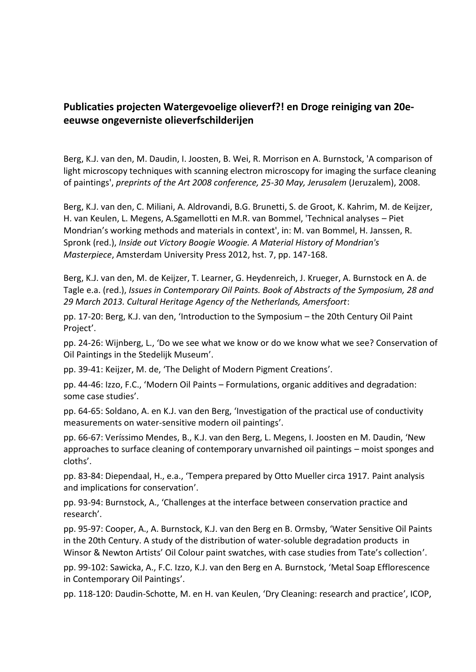## **Publicaties projecten Watergevoelige olieverf?! en Droge reiniging van 20e eeuwse ongeverniste olieverfschilderijen**

Berg, K.J. van den, M. Daudin, I. Joosten, B. Wei, R. Morrison en A. Burnstock, 'A comparison of light microscopy techniques with scanning electron microscopy for imaging the surface cleaning of paintings', *preprints of the Art 2008 conference, 25-30 May, Jerusalem* (Jeruzalem), 2008.

Berg, K.J. van den, C. Miliani, A. Aldrovandi, B.G. Brunetti, S. de Groot, K. Kahrim, M. de Keijzer, H. van Keulen, L. Megens, A.Sgamellotti en M.R. van Bommel, 'Technical analyses – Piet Mondrian's working methods and materials in context', in: M. van Bommel, H. Janssen, R. Spronk (red.), *Inside out Victory Boogie Woogie. A Material History of Mondrian's Masterpiece*, Amsterdam University Press 2012, hst. 7, pp. 147-168.

Berg, K.J. van den, M. de Keijzer, T. Learner, G. Heydenreich, J. Krueger, A. Burnstock en A. de Tagle e.a. (red.), *Issues in Contemporary Oil Paints. Book of Abstracts of the Symposium, 28 and 29 March 2013. Cultural Heritage Agency of the Netherlands, Amersfoort*:

pp. 17-20: Berg, K.J. van den, 'Introduction to the Symposium – the 20th Century Oil Paint Project'.

pp. 24-26: Wijnberg, L., 'Do we see what we know or do we know what we see? Conservation of Oil Paintings in the Stedelijk Museum'.

pp. 39-41: Keijzer, M. de, 'The Delight of Modern Pigment Creations'.

pp. 44-46: Izzo, F.C., 'Modern Oil Paints – Formulations, organic additives and degradation: some case studies'.

pp. 64-65: Soldano, A. en K.J. van den Berg, 'Investigation of the practical use of conductivity measurements on water-sensitive modern oil paintings'.

pp. 66-67: Veríssimo Mendes, B., K.J. van den Berg, L. Megens, I. Joosten en M. Daudin, 'New approaches to surface cleaning of contemporary unvarnished oil paintings – moist sponges and cloths'.

pp. 83-84: Diependaal, H., e.a., 'Tempera prepared by Otto Mueller circa 1917. Paint analysis and implications for conservation'.

pp. 93-94: Burnstock, A., 'Challenges at the interface between conservation practice and research'.

pp. 95-97: Cooper, A., A. Burnstock, K.J. van den Berg en B. Ormsby, 'Water Sensitive Oil Paints in the 20th Century. A study of the distribution of water-soluble degradation products in Winsor & Newton Artists' Oil Colour paint swatches, with case studies from Tate's collection'.

pp. 99-102: Sawicka, A., F.C. Izzo, K.J. van den Berg en A. Burnstock, 'Metal Soap Efflorescence in Contemporary Oil Paintings'.

pp. 118-120: Daudin-Schotte, M. en H. van Keulen, 'Dry Cleaning: research and practice', ICOP,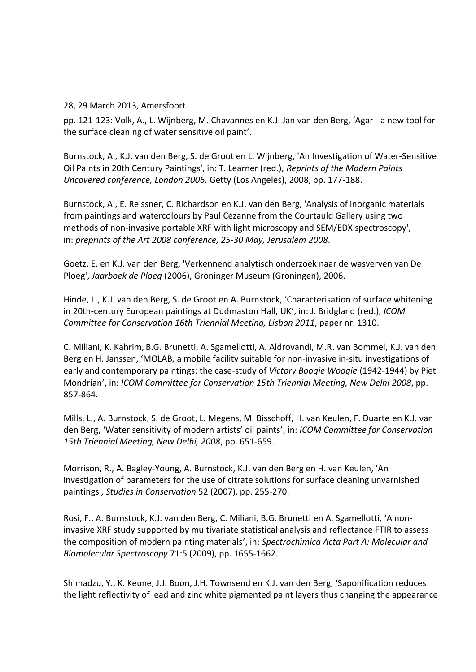28, 29 March 2013, Amersfoort.

pp. 121-123: Volk, A., L. Wijnberg, M. Chavannes en K.J. Jan van den Berg, 'Agar - a new tool for the surface cleaning of water sensitive oil paint'.

Burnstock, A., K.J. van den Berg, S. de Groot en L. Wijnberg, 'An Investigation of Water-Sensitive Oil Paints in 20th Century Paintings', in: T. Learner (red.), *Reprints of the Modern Paints Uncovered conference, London 2006,* Getty (Los Angeles), 2008, pp. 177-188.

Burnstock, A., E. Reissner, C. Richardson en K.J. van den Berg, 'Analysis of inorganic materials from paintings and watercolours by Paul Cézanne from the Courtauld Gallery using two methods of non-invasive portable XRF with light microscopy and SEM/EDX spectroscopy', in: *preprints of the Art 2008 conference, 25-30 May, Jerusalem 2008*.

Goetz, E. en K.J. van den Berg, 'Verkennend analytisch onderzoek naar de wasverven van De Ploeg', *Jaarboek de Ploeg* (2006), Groninger Museum (Groningen), 2006.

Hinde, L., K.J. van den Berg, S. de Groot en A. Burnstock, 'Characterisation of surface whitening in 20th-century European paintings at Dudmaston Hall, UK', in: J. Bridgland (red.), *ICOM Committee for Conservation 16th Triennial Meeting, Lisbon 2011*, paper nr. 1310.

C. Miliani, K. Kahrim, B.G. Brunetti, A. Sgamellotti, A. Aldrovandi, M.R. van Bommel, K.J. van den Berg en H. Janssen, 'MOLAB, a mobile facility suitable for non-invasive in-situ investigations of early and contemporary paintings: the case-study of *Victory Boogie Woogie* (1942-1944) by Piet Mondrian', in: *ICOM Committee for Conservation 15th Triennial Meeting, New Delhi 2008*, pp. 857-864.

Mills, L., A. Burnstock, S. de Groot, L. Megens, M. Bisschoff, H. van Keulen, F. Duarte en K.J. van den Berg, 'Water sensitivity of modern artists' oil paints', in: *ICOM Committee for Conservation 15th Triennial Meeting, New Delhi, 2008*, pp. 651-659.

Morrison, R., A. Bagley-Young, A. Burnstock, K.J. van den Berg en H. van Keulen, 'An investigation of parameters for the use of citrate solutions for surface cleaning unvarnished paintings', *Studies in Conservation* 52 (2007), pp. 255-270.

Rosi, F., A. Burnstock, K.J. van den Berg, C. Miliani, B.G. Brunetti en A. Sgamellotti, 'A noninvasive XRF study supported by multivariate statistical analysis and reflectance FTIR to assess the composition of modern painting materials', in: *Spectrochimica Acta Part A: Molecular and Biomolecular Spectroscopy* 71:5 (2009), pp. 1655-1662.

Shimadzu, Y., K. Keune, J.J. Boon, J.H. Townsend en K.J. van den Berg, 'Saponification reduces the light reflectivity of lead and zinc white pigmented paint layers thus changing the appearance